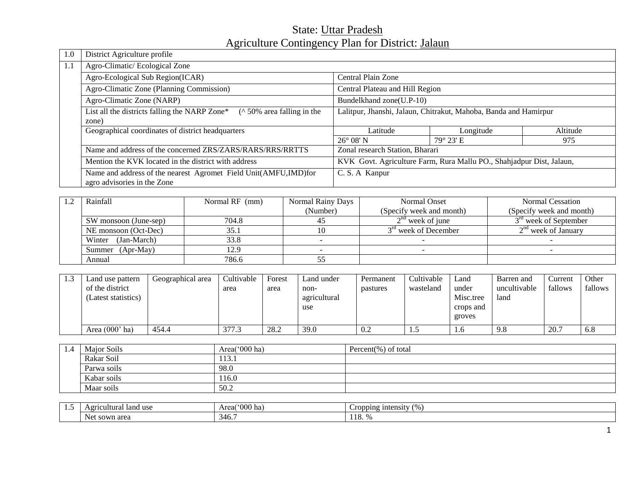# State: Uttar Pradesh Agriculture Contingency Plan for District: Jalaun

| 1.0 | District Agriculture profile                                                        |                                                                      |                    |          |  |
|-----|-------------------------------------------------------------------------------------|----------------------------------------------------------------------|--------------------|----------|--|
| 1.1 | Agro-Climatic/Ecological Zone                                                       |                                                                      |                    |          |  |
|     | Agro-Ecological Sub Region(ICAR)                                                    | Central Plain Zone                                                   |                    |          |  |
|     | Agro-Climatic Zone (Planning Commission)                                            | Central Plateau and Hill Region                                      |                    |          |  |
|     | Agro-Climatic Zone (NARP)                                                           | Bundelkhand zone(U.P-10)                                             |                    |          |  |
|     | $($ \cdot 50\% area falling in the<br>List all the districts falling the NARP Zone* | Lalitpur, Jhanshi, Jalaun, Chitrakut, Mahoba, Banda and Hamirpur     |                    |          |  |
|     | zone)                                                                               |                                                                      |                    |          |  |
|     | Geographical coordinates of district headquarters                                   | Latitude                                                             | Longitude          | Altitude |  |
|     |                                                                                     | $26^{\circ}$ 08' N                                                   | $79^{\circ} 23' E$ | 975      |  |
|     | Name and address of the concerned ZRS/ZARS/RARS/RRS/RRTTS                           | Zonal research Station, Bharari                                      |                    |          |  |
|     | Mention the KVK located in the district with address                                | KVK Govt. Agriculture Farm, Rura Mallu PO., Shahjadpur Dist, Jalaun, |                    |          |  |
|     | Name and address of the nearest Agromet Field Unit(AMFU,IMD)for                     | C. S. A Kanpur                                                       |                    |          |  |
|     | agro advisories in the Zone                                                         |                                                                      |                    |          |  |

| Rainfall<br>Normal RF (mm)     |       | Normal Rainy Days | Normal Onset                     | Normal Cessation         |
|--------------------------------|-------|-------------------|----------------------------------|--------------------------|
|                                |       | (Number)          | (Specify week and month)         | (Specify week and month) |
| 704.8<br>SW monsoon (June-sep) |       | 45                | $2na$ week of june               | $3rd$ week of September  |
| NE monsoon (Oct-Dec)<br>35.1   |       |                   | 3 <sup>rd</sup> week of December | $2nd$ week of January    |
| (Jan-March)<br>Winter          | 33.8  |                   |                                  |                          |
| Summer (Apr-May)<br>12.9       |       |                   |                                  |                          |
| Annual                         | 786.6 |                   |                                  |                          |

| 1.3 | Land use pattern<br>of the district<br>Latest statistics) | Geographical area | Cultivable<br>area | Forest<br>area | Land under<br>non-<br>agricultural<br>use | Permanent<br>pastures | Cultivable<br>wasteland | Land<br>under<br>Misc.tree<br>crops and | Barren and<br>uncultivable<br>land | Current<br>fallows | Other<br>fallows |
|-----|-----------------------------------------------------------|-------------------|--------------------|----------------|-------------------------------------------|-----------------------|-------------------------|-----------------------------------------|------------------------------------|--------------------|------------------|
|     |                                                           |                   |                    |                |                                           |                       |                         | groves                                  |                                    |                    |                  |
|     | Area $(000'$ ha)                                          | 454.4             | 377.3              | 28.2           | 39.0                                      | 0.2                   |                         | 1.U                                     | 9.8                                | 20.7               | 6.8              |

| 1.4 | Major Soils | Area( $000$ ha) | Percent(%) of total |
|-----|-------------|-----------------|---------------------|
|     | Rakar Soil  | 113.1           |                     |
|     | Parwa soils | 98.0            |                     |
|     | Kabar soils | 16.0            |                     |
|     | Maar soils  | 50.2            |                     |

| . | land use<br>$A$ $0^{\circ}$<br>cultural<br>1.C | $000^\circ$<br>ha<br>raon.<br>Area | $\alpha$<br>ropping intensity<br>ັ |  |  |
|---|------------------------------------------------|------------------------------------|------------------------------------|--|--|
|   | ` sown area<br>Net<br>4r<br>᠇ᠸ.                |                                    | . .                                |  |  |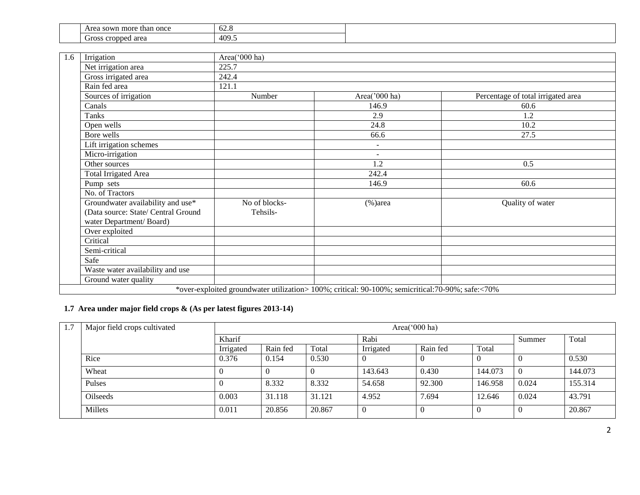| sown mor<br>once<br>Are.<br>than<br>ra.                                        | $\overline{\phantom{a}}$<br>. .<br>$U \sim U$ |
|--------------------------------------------------------------------------------|-----------------------------------------------|
| $2r \alpha$<br>-roc<br>$\alpha$ $\alpha$ $\alpha$<br>UITOSS.<br>s crobbeu area | 409.5                                         |

| 1.6 | Irrigation                                                                                          | Area('000 ha)             |                                                                                                   |                                    |
|-----|-----------------------------------------------------------------------------------------------------|---------------------------|---------------------------------------------------------------------------------------------------|------------------------------------|
|     | Net irrigation area                                                                                 | 225.7                     |                                                                                                   |                                    |
|     | Gross irrigated area                                                                                | 242.4                     |                                                                                                   |                                    |
|     | Rain fed area                                                                                       | 121.1                     |                                                                                                   |                                    |
|     | Sources of irrigation                                                                               | Number                    | Area('000 ha)                                                                                     | Percentage of total irrigated area |
|     | Canals                                                                                              |                           | 146.9                                                                                             | 60.6                               |
|     | Tanks                                                                                               |                           | 2.9                                                                                               | 1.2                                |
|     | Open wells                                                                                          |                           | 24.8                                                                                              | 10.2                               |
|     | Bore wells                                                                                          |                           | 66.6                                                                                              | 27.5                               |
|     | Lift irrigation schemes                                                                             |                           |                                                                                                   |                                    |
|     | Micro-irrigation                                                                                    |                           | $\overline{\phantom{a}}$                                                                          |                                    |
|     | Other sources                                                                                       |                           | 1.2                                                                                               | 0.5                                |
|     | Total Irrigated Area                                                                                |                           | 242.4                                                                                             |                                    |
|     | Pump sets                                                                                           |                           | 146.9                                                                                             | 60.6                               |
|     | No. of Tractors                                                                                     |                           |                                                                                                   |                                    |
|     | Groundwater availability and use*<br>(Data source: State/ Central Ground<br>water Department/Board) | No of blocks-<br>Tehsils- | $%$ )area                                                                                         | Quality of water                   |
|     | Over exploited                                                                                      |                           |                                                                                                   |                                    |
|     | Critical                                                                                            |                           |                                                                                                   |                                    |
|     | Semi-critical                                                                                       |                           |                                                                                                   |                                    |
|     | Safe                                                                                                |                           |                                                                                                   |                                    |
|     | Waste water availability and use                                                                    |                           |                                                                                                   |                                    |
|     | Ground water quality                                                                                |                           |                                                                                                   |                                    |
|     |                                                                                                     |                           | *over-exploited groundwater utilization> 100%; critical: 90-100%; semicritical: 70-90%; safe:<70% |                                    |

## **1.7 Area under major field crops & (As per latest figures 2013-14)**

| 1.7 | Major field crops cultivated |           | Area('000 ha) |        |           |          |         |        |         |  |  |  |  |
|-----|------------------------------|-----------|---------------|--------|-----------|----------|---------|--------|---------|--|--|--|--|
|     |                              | Kharif    |               |        | Rabi      |          |         | Summer | Total   |  |  |  |  |
|     |                              | Irrigated | Rain fed      | Total  | Irrigated | Rain fed | Total   |        |         |  |  |  |  |
|     | Rice                         | 0.376     | 0.154         | 0.530  |           |          |         |        | 0.530   |  |  |  |  |
|     | Wheat                        |           |               |        | 143.643   | 0.430    | 144.073 |        | 144.073 |  |  |  |  |
|     | Pulses                       |           | 8.332         | 8.332  | 54.658    | 92.300   | 146.958 | 0.024  | 155.314 |  |  |  |  |
|     | <b>Oilseeds</b>              | 0.003     | 31.118        | 31.121 | 4.952     | 7.694    | 12.646  | 0.024  | 43.791  |  |  |  |  |
|     | Millets                      | 0.011     | 20.856        | 20.867 |           | $\theta$ | -0      |        | 20.867  |  |  |  |  |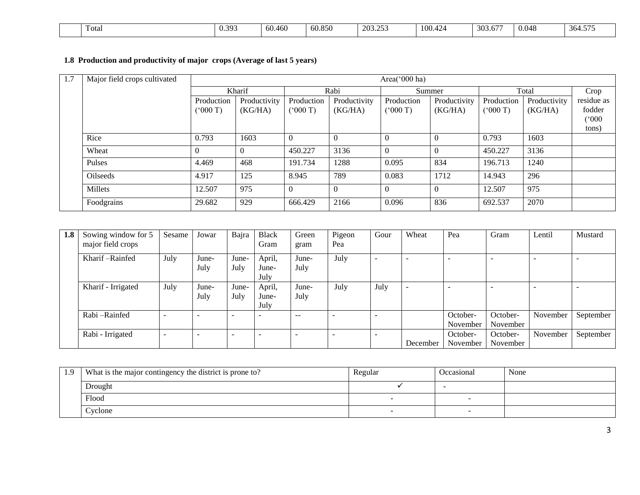| $-$<br>$\overline{a}$<br>20<br>0.04c<br>$\sim$ $\sim$ $\sim$<br>$\overline{ }$ |       |                 |        |        |      |        |         |       |                            |
|--------------------------------------------------------------------------------|-------|-----------------|--------|--------|------|--------|---------|-------|----------------------------|
| - 400.400 ·<br>v. <i>j.</i>                                                    | Fotal | 30 <sup>°</sup> | 60.460 | 60.850 | 2002 | 100.42 | $-50.5$ | V.V48 | $ -$<br>.304. <sub>2</sub> |

## **1.8 Production and productivity of major crops (Average of last 5 years)**

| 1.7 | Major field crops cultivated |            |              |            |              | Area('000 ha) |              |              |              |            |
|-----|------------------------------|------------|--------------|------------|--------------|---------------|--------------|--------------|--------------|------------|
|     |                              |            | Kharif       |            | Rabi         |               | Summer       |              | Total        | Crop       |
|     |                              | Production | Productivity | Production | Productivity | Production    | Productivity | Production   | Productivity | residue as |
|     |                              | (7000)     | (KG/HA)      | (000T)     | (KG/HA)      | (000T)        | (KG/HA)      | $(^{o}000T)$ | (KG/HA)      | fodder     |
|     |                              |            |              |            |              |               |              |              |              | (000)      |
|     |                              |            |              |            |              |               |              |              |              | tons)      |
|     | Rice                         | 0.793      | 1603         |            |              | O             | $\theta$     | 0.793        | 1603         |            |
|     | Wheat                        | $\Omega$   | $\Omega$     | 450.227    | 3136         | $\Omega$      | $\Omega$     | 450.227      | 3136         |            |
|     | Pulses                       | 4.469      | 468          | 191.734    | 1288         | 0.095         | 834          | 196.713      | 1240         |            |
|     | Oilseeds                     | 4.917      | 125          | 8.945      | 789          | 0.083         | 1712         | 14.943       | 296          |            |
|     | Millets                      | 12.507     | 975          |            |              | $\Omega$      | $\Omega$     | 12.507       | 975          |            |
|     | Foodgrains                   | 29.682     | 929          | 666.429    | 2166         | 0.096         | 836          | 692.537      | 2070         |            |

| 1.8 | Sowing window for 5 | Sesame                   | Jowar    | Bajra | <b>Black</b> | Green                    | Pigeon | Gour                     | Wheat    | Pea      | Gram     | Lentil   | Mustard   |
|-----|---------------------|--------------------------|----------|-------|--------------|--------------------------|--------|--------------------------|----------|----------|----------|----------|-----------|
|     | major field crops   |                          |          |       | Gram         | gram                     | Pea    |                          |          |          |          |          |           |
|     | Kharif-Rainfed      | July                     | June-    | June- | April,       | June-                    | July   | $\overline{\phantom{a}}$ |          |          |          |          |           |
|     |                     |                          | July     | July  | June-        | July                     |        |                          |          |          |          |          |           |
|     |                     |                          |          |       | July         |                          |        |                          |          |          |          |          |           |
|     | Kharif - Irrigated  | July                     | June-    | June- | April,       | June-                    | July   | July                     |          |          |          |          |           |
|     |                     |                          | July     | July  | June-        | July                     |        |                          |          |          |          |          |           |
|     |                     |                          |          |       | July         |                          |        |                          |          |          |          |          |           |
|     | Rabi – Rainfed      |                          |          |       |              | $- -$                    |        | $\overline{\phantom{a}}$ |          | October- | October- | November | September |
|     |                     |                          |          |       |              |                          |        |                          |          | November | November |          |           |
|     | Rabi - Irrigated    | $\overline{\phantom{a}}$ | <b>1</b> | -     |              | $\overline{\phantom{0}}$ |        | $\overline{\phantom{a}}$ |          | October- | October- | November | September |
|     |                     |                          |          |       |              |                          |        |                          | December | November | November |          |           |

| - 0 | What is the major contingency the district is prone to? | Regular | Occasional | None |
|-----|---------------------------------------------------------|---------|------------|------|
|     | Drought                                                 |         |            |      |
|     | Flood                                                   |         |            |      |
|     | Cyclone                                                 |         |            |      |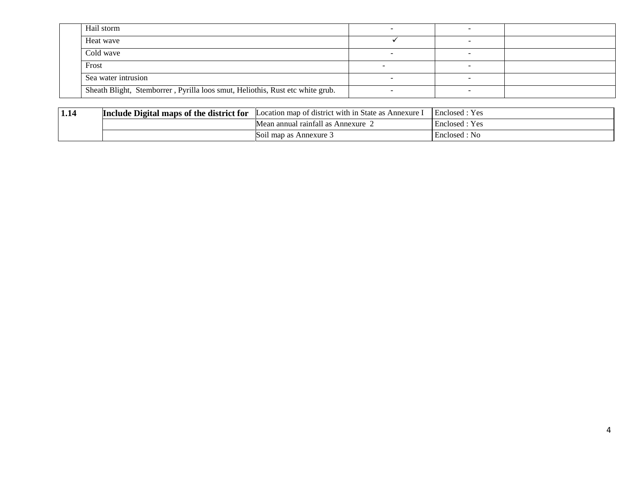| Hail storm                                                                    |  |  |
|-------------------------------------------------------------------------------|--|--|
| Heat wave                                                                     |  |  |
| Cold wave                                                                     |  |  |
| Frost                                                                         |  |  |
| Sea water intrusion                                                           |  |  |
| Sheath Blight, Stemborrer, Pyrilla loos smut, Heliothis, Rust etc white grub. |  |  |

| 1.14 | <b>E</b> Digital maps of the district for<br>Include | $\cdot$<br>Location map of district with in State as<br>Annexure | Enclosed<br>Y es |
|------|------------------------------------------------------|------------------------------------------------------------------|------------------|
|      |                                                      | $\mathbf{1}$<br>Annexure<br>raintall<br>ı annual                 | Yes<br>Enclosed  |
|      |                                                      | Soil map as Annexure 5                                           | Enclosed : No    |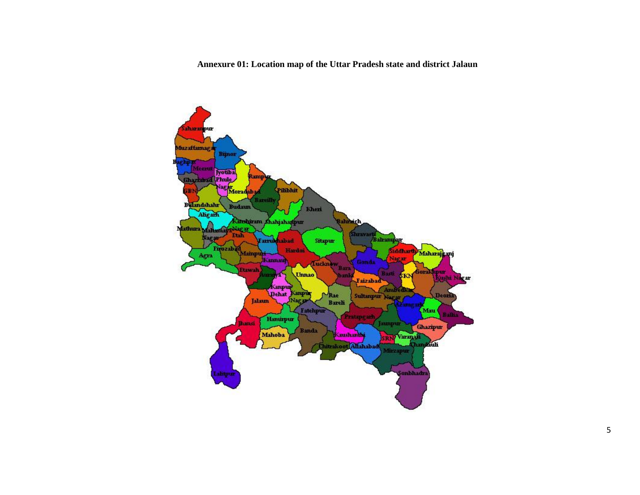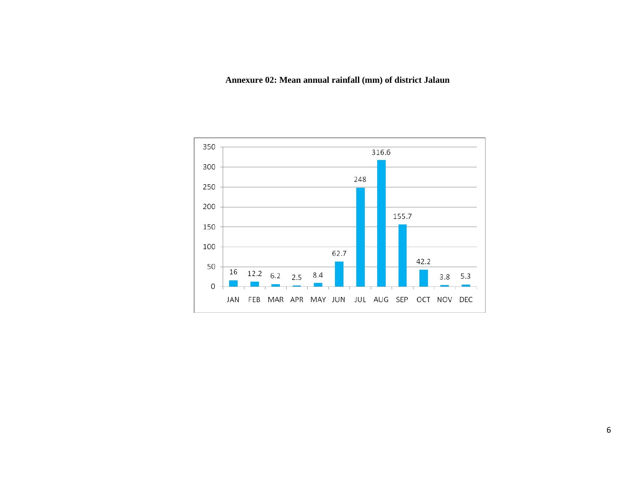**Annexure 02: Mean annual rainfall (mm) of district Jalaun**

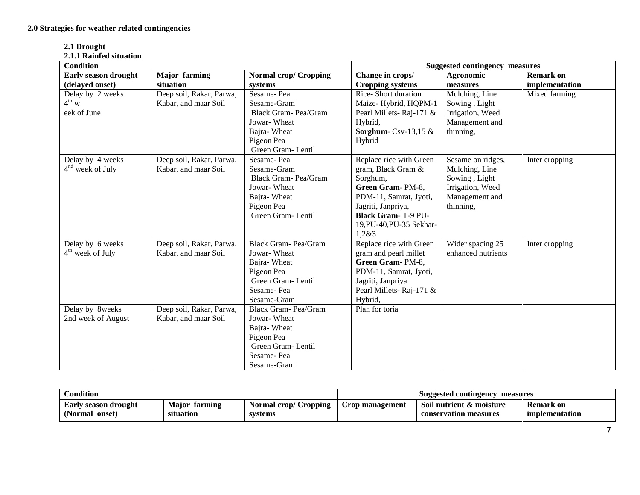| 2.1 Drought             |  |
|-------------------------|--|
| 2.1.1 Rainfed situation |  |

| <b>Condition</b>            |                          |                              | <b>Suggested contingency measures</b> |                    |                  |  |
|-----------------------------|--------------------------|------------------------------|---------------------------------------|--------------------|------------------|--|
| <b>Early season drought</b> | <b>Major</b> farming     | <b>Normal crop/ Cropping</b> | Change in crops/                      | Agronomic          | <b>Remark on</b> |  |
| (delayed onset)             | situation                | systems                      | <b>Cropping systems</b>               | measures           | implementation   |  |
| Delay by 2 weeks            | Deep soil, Rakar, Parwa, | Sesame-Pea                   | Rice-Short duration                   | Mulching, Line     | Mixed farming    |  |
| $4^{th}$ w                  | Kabar, and maar Soil     | Sesame-Gram                  | Maize-Hybrid, HQPM-1                  | Sowing, Light      |                  |  |
| eek of June                 |                          | Black Gram-Pea/Gram          | Pearl Millets-Raj-171 &               | Irrigation, Weed   |                  |  |
|                             |                          | Jowar-Wheat                  | Hybrid,                               | Management and     |                  |  |
|                             |                          | Bajra-Wheat                  | Sorghum-Csv-13,15 $&$                 | thinning,          |                  |  |
|                             |                          | Pigeon Pea                   | Hybrid                                |                    |                  |  |
|                             |                          | Green Gram-Lentil            |                                       |                    |                  |  |
| Delay by 4 weeks            | Deep soil, Rakar, Parwa, | Sesame-Pea                   | Replace rice with Green               | Sesame on ridges,  | Inter cropping   |  |
| $4nd$ week of July          | Kabar, and maar Soil     | Sesame-Gram                  | gram, Black Gram &                    | Mulching, Line     |                  |  |
|                             |                          | Black Gram-Pea/Gram          | Sorghum,                              | Sowing, Light      |                  |  |
|                             |                          | Jowar-Wheat                  | Green Gram-PM-8,                      | Irrigation, Weed   |                  |  |
|                             |                          | Bajra-Wheat                  | PDM-11, Samrat, Jyoti,                | Management and     |                  |  |
|                             |                          | Pigeon Pea                   | Jagriti, Janpriya,                    | thinning,          |                  |  |
|                             |                          | Green Gram-Lentil            | <b>Black Gram-T-9 PU-</b>             |                    |                  |  |
|                             |                          |                              | 19, PU-40, PU-35 Sekhar-              |                    |                  |  |
|                             |                          |                              | 1,283                                 |                    |                  |  |
| Delay by 6 weeks            | Deep soil, Rakar, Parwa, | <b>Black Gram-Pea/Gram</b>   | Replace rice with Green               | Wider spacing 25   | Inter cropping   |  |
| $4th$ week of July          | Kabar, and maar Soil     | Jowar-Wheat                  | gram and pearl millet                 | enhanced nutrients |                  |  |
|                             |                          | Bajra-Wheat                  | Green Gram-PM-8,                      |                    |                  |  |
|                             |                          | Pigeon Pea                   | PDM-11, Samrat, Jyoti,                |                    |                  |  |
|                             |                          | Green Gram-Lentil            | Jagriti, Janpriya                     |                    |                  |  |
|                             |                          | Sesame-Pea                   | Pearl Millets-Raj-171 &               |                    |                  |  |
|                             |                          | Sesame-Gram                  | Hybrid,                               |                    |                  |  |
| Delay by 8weeks             | Deep soil, Rakar, Parwa, | <b>Black Gram-Pea/Gram</b>   | Plan for toria                        |                    |                  |  |
| 2nd week of August          | Kabar, and maar Soil     | Jowar-Wheat                  |                                       |                    |                  |  |
|                             |                          | Bajra-Wheat                  |                                       |                    |                  |  |
|                             |                          | Pigeon Pea                   |                                       |                    |                  |  |
|                             |                          | Green Gram-Lentil            |                                       |                    |                  |  |
|                             |                          | Sesame-Pea                   |                                       |                    |                  |  |
|                             |                          | Sesame-Gram                  |                                       |                    |                  |  |

| Condition                   |                      |                       | Suggested contingency<br>measures |                          |                  |
|-----------------------------|----------------------|-----------------------|-----------------------------------|--------------------------|------------------|
| <b>Early season drought</b> | <b>Major</b> farming | Normal crop/ Cropping | Crop management                   | Soil nutrient & moisture | <b>Remark on</b> |
| (Normal onset)              | situation            | systems               |                                   | conservation measures    | implementation   |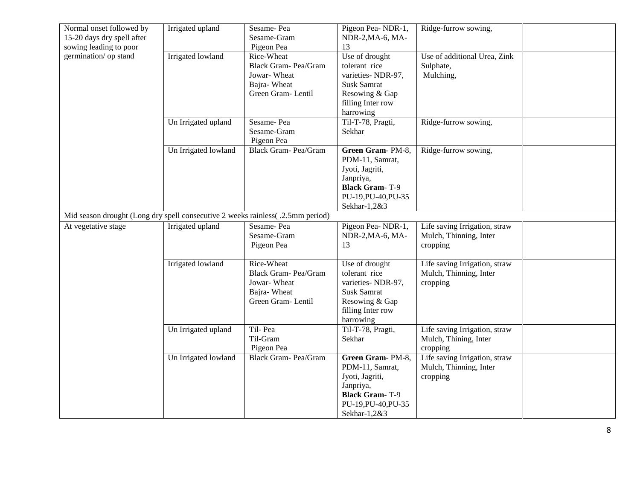| Normal onset followed by                                                        | Irrigated upland     | Sesame-Pea                 | Pigeon Pea-NDR-1,     | Ridge-furrow sowing,          |  |
|---------------------------------------------------------------------------------|----------------------|----------------------------|-----------------------|-------------------------------|--|
| 15-20 days dry spell after                                                      |                      | Sesame-Gram                | NDR-2, MA-6, MA-      |                               |  |
| sowing leading to poor                                                          |                      | Pigeon Pea                 | 13                    |                               |  |
| germination/ op stand                                                           | Irrigated lowland    | Rice-Wheat                 | Use of drought        | Use of additional Urea, Zink  |  |
|                                                                                 |                      | Black Gram- Pea/Gram       | tolerant rice         | Sulphate,                     |  |
|                                                                                 |                      | Jowar-Wheat                | varieties-NDR-97,     | Mulching,                     |  |
|                                                                                 |                      | Bajra-Wheat                | Susk Samrat           |                               |  |
|                                                                                 |                      | Green Gram-Lentil          | Resowing & Gap        |                               |  |
|                                                                                 |                      |                            | filling Inter row     |                               |  |
|                                                                                 |                      |                            | harrowing             |                               |  |
|                                                                                 | Un Irrigated upland  | Sesame-Pea                 | Til-T-78, Pragti,     | Ridge-furrow sowing,          |  |
|                                                                                 |                      | Sesame-Gram                | Sekhar                |                               |  |
|                                                                                 |                      | Pigeon Pea                 |                       |                               |  |
|                                                                                 | Un Irrigated lowland | Black Gram- Pea/Gram       | Green Gram-PM-8,      | Ridge-furrow sowing,          |  |
|                                                                                 |                      |                            | PDM-11, Samrat,       |                               |  |
|                                                                                 |                      |                            | Jyoti, Jagriti,       |                               |  |
|                                                                                 |                      |                            | Janpriya,             |                               |  |
|                                                                                 |                      |                            | <b>Black Gram-T-9</b> |                               |  |
|                                                                                 |                      |                            | PU-19, PU-40, PU-35   |                               |  |
|                                                                                 |                      |                            | Sekhar-1,2&3          |                               |  |
| Mid season drought (Long dry spell consecutive 2 weeks rainless( .2.5mm period) |                      |                            |                       |                               |  |
| At vegetative stage                                                             | Irrigated upland     | Sesame-Pea                 | Pigeon Pea-NDR-1,     | Life saving Irrigation, straw |  |
|                                                                                 |                      | Sesame-Gram                | NDR-2, MA-6, MA-      | Mulch, Thinning, Inter        |  |
|                                                                                 |                      | Pigeon Pea                 | 13                    | cropping                      |  |
|                                                                                 |                      |                            |                       |                               |  |
|                                                                                 | Irrigated lowland    | Rice-Wheat                 | Use of drought        | Life saving Irrigation, straw |  |
|                                                                                 |                      | Black Gram- Pea/Gram       | tolerant rice         | Mulch, Thinning, Inter        |  |
|                                                                                 |                      | Jowar-Wheat                | varieties- NDR-97,    | cropping                      |  |
|                                                                                 |                      | Bajra-Wheat                | Susk Samrat           |                               |  |
|                                                                                 |                      | Green Gram-Lentil          | Resowing & Gap        |                               |  |
|                                                                                 |                      |                            | filling Inter row     |                               |  |
|                                                                                 |                      |                            | harrowing             |                               |  |
|                                                                                 | Un Irrigated upland  | Til-Pea                    | Til-T-78, Pragti,     | Life saving Irrigation, straw |  |
|                                                                                 |                      | Til-Gram                   | Sekhar                | Mulch, Thining, Inter         |  |
|                                                                                 |                      | Pigeon Pea                 |                       | cropping                      |  |
|                                                                                 | Un Irrigated lowland | <b>Black Gram-Pea/Gram</b> | Green Gram-PM-8,      | Life saving Irrigation, straw |  |
|                                                                                 |                      |                            | PDM-11, Samrat,       | Mulch, Thinning, Inter        |  |
|                                                                                 |                      |                            | Jyoti, Jagriti,       | cropping                      |  |
|                                                                                 |                      |                            | Janpriya,             |                               |  |
|                                                                                 |                      |                            | <b>Black Gram-T-9</b> |                               |  |
|                                                                                 |                      |                            | PU-19, PU-40, PU-35   |                               |  |
|                                                                                 |                      |                            | Sekhar-1,2&3          |                               |  |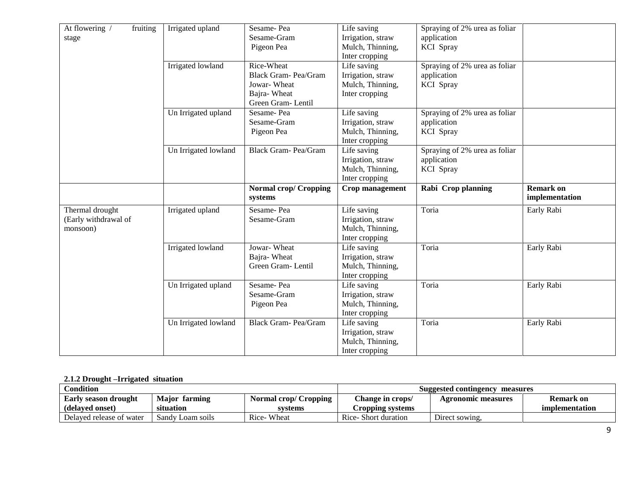| At flowering /<br>fruiting | Irrigated upland     | Sesame-Pea                   | Life saving       | Spraying of 2% urea as foliar |                  |
|----------------------------|----------------------|------------------------------|-------------------|-------------------------------|------------------|
| stage                      |                      | Sesame-Gram                  | Irrigation, straw | application                   |                  |
|                            |                      | Pigeon Pea                   | Mulch, Thinning,  | <b>KCI</b> Spray              |                  |
|                            |                      |                              | Inter cropping    |                               |                  |
|                            | Irrigated lowland    | Rice-Wheat                   | Life saving       | Spraying of 2% urea as foliar |                  |
|                            |                      | <b>Black Gram-Pea/Gram</b>   | Irrigation, straw | application                   |                  |
|                            |                      | Jowar-Wheat                  | Mulch, Thinning,  | KCI Spray                     |                  |
|                            |                      | Bajra-Wheat                  | Inter cropping    |                               |                  |
|                            |                      | Green Gram-Lentil            |                   |                               |                  |
|                            | Un Irrigated upland  | Sesame-Pea                   | Life saving       | Spraying of 2% urea as foliar |                  |
|                            |                      | Sesame-Gram                  | Irrigation, straw | application                   |                  |
|                            |                      | Pigeon Pea                   | Mulch, Thinning,  | KCI Spray                     |                  |
|                            |                      |                              | Inter cropping    |                               |                  |
|                            | Un Irrigated lowland | Black Gram- Pea/Gram         | Life saving       | Spraying of 2% urea as foliar |                  |
|                            |                      |                              | Irrigation, straw | application                   |                  |
|                            |                      |                              | Mulch, Thinning,  | <b>KCI</b> Spray              |                  |
|                            |                      |                              | Inter cropping    |                               |                  |
|                            |                      | <b>Normal crop/ Cropping</b> | Crop management   | Rabi Crop planning            | <b>Remark on</b> |
|                            |                      | systems                      |                   |                               | implementation   |
|                            |                      |                              |                   |                               |                  |
| Thermal drought            | Irrigated upland     | Sesame-Pea                   | Life saving       | Toria                         | Early Rabi       |
| (Early withdrawal of       |                      | Sesame-Gram                  | Irrigation, straw |                               |                  |
| monsoon)                   |                      |                              | Mulch, Thinning,  |                               |                  |
|                            |                      |                              | Inter cropping    |                               |                  |
|                            | Irrigated lowland    | Jowar-Wheat                  | Life saving       | Toria                         | Early Rabi       |
|                            |                      | Bajra-Wheat                  | Irrigation, straw |                               |                  |
|                            |                      | Green Gram-Lentil            | Mulch, Thinning,  |                               |                  |
|                            |                      |                              | Inter cropping    |                               |                  |
|                            | Un Irrigated upland  | Sesame-Pea                   | Life saving       | Toria                         | Early Rabi       |
|                            |                      | Sesame-Gram                  | Irrigation, straw |                               |                  |
|                            |                      | Pigeon Pea                   | Mulch, Thinning,  |                               |                  |
|                            |                      |                              | Inter cropping    |                               |                  |
|                            | Un Irrigated lowland | Black Gram- Pea/Gram         | Life saving       | Toria                         | Early Rabi       |
|                            |                      |                              | Irrigation, straw |                               |                  |
|                            |                      |                              | Mulch, Thinning,  |                               |                  |
|                            |                      |                              |                   |                               |                  |

## **2.1.2 Drought –Irrigated situation**

| Condition                |                         |                              | Suggested contingency<br>measures |                    |                |
|--------------------------|-------------------------|------------------------------|-----------------------------------|--------------------|----------------|
| Early season drought     | Maior<br>farming        | <b>Normal crop/ Cropping</b> | Change in crops/                  | Agronomic measures | Remark on      |
| (delaved onset)          | situation               | svstems                      | Cropping systems                  |                    | implementation |
| Delaved release of water | Sandy J<br>/ Loam soils | Rice-Wheat                   | Rice-Short duration               | Direct sowing.     |                |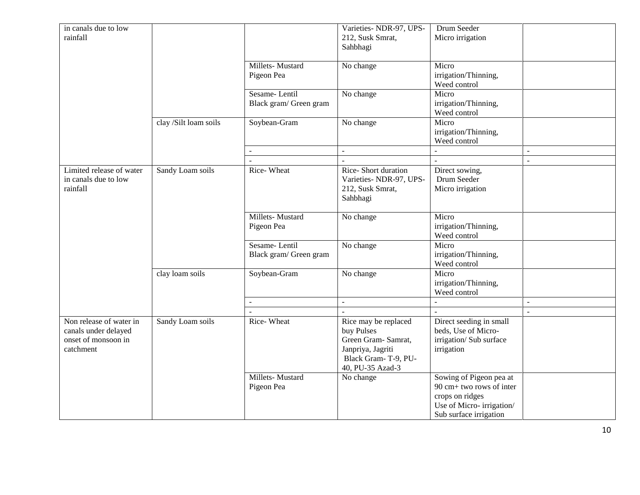| in canals due to low     |                       |                        | Varieties-NDR-97, UPS-  | Drum Seeder                                 |                |
|--------------------------|-----------------------|------------------------|-------------------------|---------------------------------------------|----------------|
| rainfall                 |                       |                        | 212, Susk Smrat,        | Micro irrigation                            |                |
|                          |                       |                        | Sahbhagi                |                                             |                |
|                          |                       |                        |                         |                                             |                |
|                          |                       | Millets-Mustard        | No change               | Micro                                       |                |
|                          |                       | Pigeon Pea             |                         | irrigation/Thinning,                        |                |
|                          |                       |                        |                         | Weed control                                |                |
|                          |                       | Sesame-Lentil          | No change               | Micro                                       |                |
|                          |                       | Black gram/ Green gram |                         | irrigation/Thinning,                        |                |
|                          |                       |                        |                         | Weed control                                |                |
|                          | clay /Silt loam soils | Soybean-Gram           | No change               | Micro                                       |                |
|                          |                       |                        |                         | irrigation/Thinning,                        |                |
|                          |                       |                        |                         | Weed control                                |                |
|                          |                       |                        | $\sim$                  |                                             | L.             |
|                          |                       |                        |                         |                                             | $\sim$         |
| Limited release of water | Sandy Loam soils      | Rice-Wheat             | Rice-Short duration     | Direct sowing,                              |                |
| in canals due to low     |                       |                        | Varieties- NDR-97, UPS- | Drum Seeder                                 |                |
| rainfall                 |                       |                        | 212, Susk Smrat,        | Micro irrigation                            |                |
|                          |                       |                        | Sahbhagi                |                                             |                |
|                          |                       | Millets-Mustard        | No change               | Micro                                       |                |
|                          |                       | Pigeon Pea             |                         | irrigation/Thinning,                        |                |
|                          |                       |                        |                         | Weed control                                |                |
|                          |                       | Sesame-Lentil          | No change               | Micro                                       |                |
|                          |                       | Black gram/ Green gram |                         | irrigation/Thinning,                        |                |
|                          |                       |                        |                         | Weed control                                |                |
|                          | clay loam soils       | Soybean-Gram           | No change               | Micro                                       |                |
|                          |                       |                        |                         | irrigation/Thinning,                        |                |
|                          |                       |                        |                         | Weed control                                |                |
|                          |                       |                        |                         |                                             | $\overline{a}$ |
|                          |                       |                        |                         |                                             | ÷.             |
| Non release of water in  | Sandy Loam soils      | Rice-Wheat             | Rice may be replaced    | Direct seeding in small                     |                |
| canals under delayed     |                       |                        | buy Pulses              | beds, Use of Micro-                         |                |
| onset of monsoon in      |                       |                        | Green Gram- Samrat,     | irrigation/ Sub surface                     |                |
| catchment                |                       |                        | Janpriya, Jagriti       | irrigation                                  |                |
|                          |                       |                        | Black Gram-T-9, PU-     |                                             |                |
|                          |                       |                        | 40, PU-35 Azad-3        |                                             |                |
|                          |                       | Millets-Mustard        | No change               | Sowing of Pigeon pea at                     |                |
|                          |                       | Pigeon Pea             |                         | 90 cm+ two rows of inter                    |                |
|                          |                       |                        |                         | crops on ridges<br>Use of Micro-irrigation/ |                |
|                          |                       |                        |                         | Sub surface irrigation                      |                |
|                          |                       |                        |                         |                                             |                |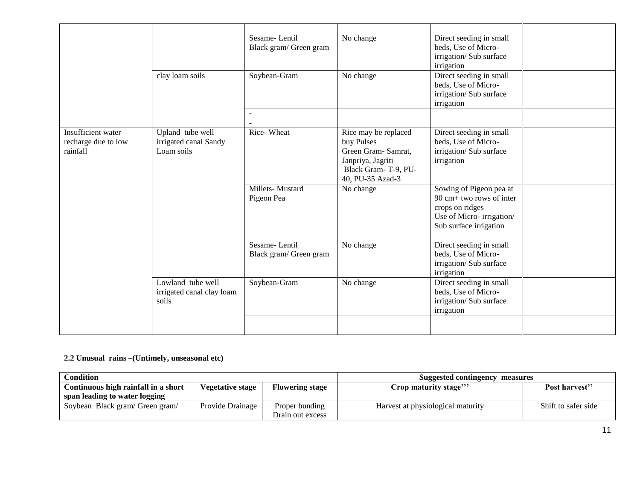|                     |                           | Sesame-Lentil          | No change                                | Direct seeding in small               |  |
|---------------------|---------------------------|------------------------|------------------------------------------|---------------------------------------|--|
|                     |                           | Black gram/ Green gram |                                          | beds, Use of Micro-                   |  |
|                     |                           |                        |                                          | irrigation/ Sub surface<br>irrigation |  |
|                     | clay loam soils           | Soybean-Gram           | No change                                | Direct seeding in small               |  |
|                     |                           |                        |                                          | beds, Use of Micro-                   |  |
|                     |                           |                        |                                          | irrigation/ Sub surface               |  |
|                     |                           |                        |                                          | irrigation                            |  |
|                     |                           |                        |                                          |                                       |  |
|                     |                           |                        |                                          |                                       |  |
| Insufficient water  | Upland tube well          | Rice-Wheat             | Rice may be replaced                     | Direct seeding in small               |  |
| recharge due to low | irrigated canal Sandy     |                        | buy Pulses                               | beds, Use of Micro-                   |  |
| rainfall            | Loam soils                |                        | Green Gram-Samrat,                       | irrigation/Sub surface                |  |
|                     |                           |                        | Janpriya, Jagriti<br>Black Gram-T-9, PU- | irrigation                            |  |
|                     |                           |                        | 40, PU-35 Azad-3                         |                                       |  |
|                     |                           | Millets-Mustard        | No change                                | Sowing of Pigeon pea at               |  |
|                     |                           | Pigeon Pea             |                                          | $90 \text{ cm} +$ two rows of inter   |  |
|                     |                           |                        |                                          | crops on ridges                       |  |
|                     |                           |                        |                                          | Use of Micro-irrigation/              |  |
|                     |                           |                        |                                          | Sub surface irrigation                |  |
|                     |                           | Sesame-Lentil          |                                          | Direct seeding in small               |  |
|                     |                           | Black gram/ Green gram | No change                                | beds, Use of Micro-                   |  |
|                     |                           |                        |                                          | irrigation/ Sub surface               |  |
|                     |                           |                        |                                          | irrigation                            |  |
|                     | Lowland tube well         | Soybean-Gram           | No change                                | Direct seeding in small               |  |
|                     | irrigated canal clay loam |                        |                                          | beds, Use of Micro-                   |  |
|                     | soils                     |                        |                                          | irrigation/ Sub surface               |  |
|                     |                           |                        |                                          | irrigation                            |  |
|                     |                           |                        |                                          |                                       |  |
|                     |                           |                        |                                          |                                       |  |

## **2.2 Unusual rains –(Untimely, unseasonal etc)**

| Condition                                                                                |                  |                                    | Suggested contingency measures    |                     |  |
|------------------------------------------------------------------------------------------|------------------|------------------------------------|-----------------------------------|---------------------|--|
| Continuous high rainfall in a short<br><b>Flowering stage</b><br><b>Vegetative stage</b> |                  | Crop maturity stage'''             | Post harvest"                     |                     |  |
| span leading to water logging                                                            |                  |                                    |                                   |                     |  |
| Soybean Black gram/ Green gram/                                                          | Provide Drainage | Proper bunding<br>Drain out excess | Harvest at physiological maturity | Shift to safer side |  |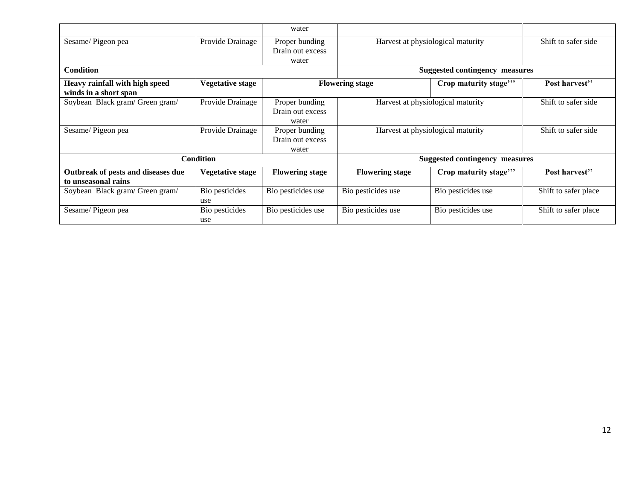|                                                           |                         | water                                       |                                       |                                       |                      |  |
|-----------------------------------------------------------|-------------------------|---------------------------------------------|---------------------------------------|---------------------------------------|----------------------|--|
| Sesame/Pigeon pea                                         | Provide Drainage        | Proper bunding<br>Drain out excess<br>water | Harvest at physiological maturity     |                                       | Shift to safer side  |  |
| <b>Condition</b>                                          |                         |                                             |                                       | <b>Suggested contingency measures</b> |                      |  |
| Heavy rainfall with high speed                            | <b>Vegetative stage</b> |                                             | <b>Flowering stage</b>                | Crop maturity stage"                  | Post harvest"        |  |
| winds in a short span                                     |                         |                                             |                                       |                                       |                      |  |
| Soybean Black gram/ Green gram/                           | Provide Drainage        | Proper bunding<br>Drain out excess<br>water | Harvest at physiological maturity     |                                       | Shift to safer side  |  |
| Sesame/Pigeon pea                                         | Provide Drainage        | Proper bunding<br>Drain out excess<br>water | Harvest at physiological maturity     |                                       | Shift to safer side  |  |
|                                                           | <b>Condition</b>        |                                             | <b>Suggested contingency measures</b> |                                       |                      |  |
| Outbreak of pests and diseases due<br>to unseasonal rains | <b>Vegetative stage</b> | <b>Flowering stage</b>                      | <b>Flowering stage</b>                | Crop maturity stage"                  | Post harvest"        |  |
| Soybean Black gram/ Green gram/                           | Bio pesticides<br>use   | Bio pesticides use                          | Bio pesticides use                    | Bio pesticides use                    | Shift to safer place |  |
| Sesame/Pigeon pea                                         | Bio pesticides<br>use   | Bio pesticides use                          | Bio pesticides use                    | Bio pesticides use                    | Shift to safer place |  |